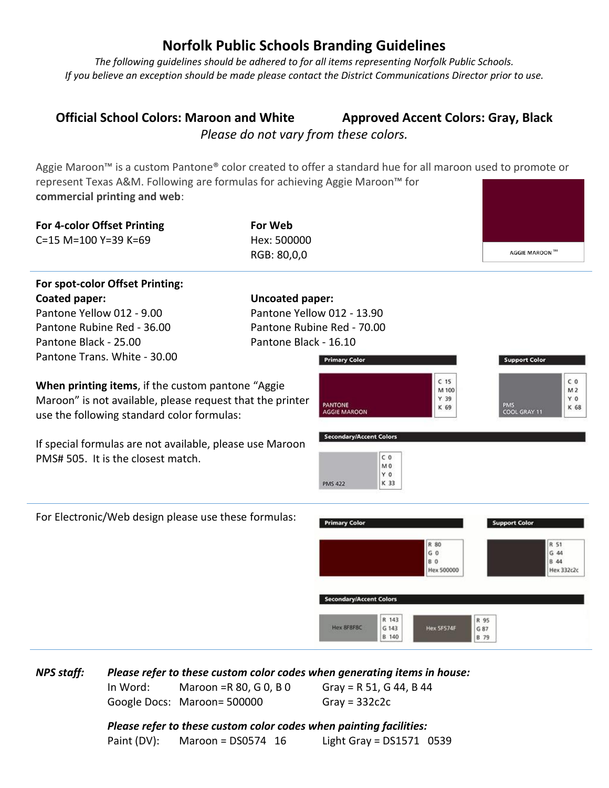## **Norfolk Public Schools Branding Guidelines**

*The following guidelines should be adhered to for all items representing Norfolk Public Schools. If you believe an exception should be made please contact the District Communications Director prior to use.*

## **Official School Colors: Maroon and White Approved Accent Colors: Gray, Black** *Please do not vary from these colors.*

Aggie Maroon<sup>™</sup> is a custom Pantone® color created to offer a standard hue for all maroon used to promote or represent Texas A&M. Following are formulas for achieving Aggie Maroon™ for **commercial printing and web**:

| For 4-color Offset Printing                                                                                                                                                                                                                                    | <b>For Web</b>             |                                                                                                                                             |                                                                        |                                                                                                  |
|----------------------------------------------------------------------------------------------------------------------------------------------------------------------------------------------------------------------------------------------------------------|----------------------------|---------------------------------------------------------------------------------------------------------------------------------------------|------------------------------------------------------------------------|--------------------------------------------------------------------------------------------------|
| C=15 M=100 Y=39 K=69                                                                                                                                                                                                                                           | Hex: 500000<br>RGB: 80,0,0 |                                                                                                                                             |                                                                        | AGGIE MAROON ™                                                                                   |
|                                                                                                                                                                                                                                                                |                            |                                                                                                                                             |                                                                        |                                                                                                  |
| For spot-color Offset Printing:                                                                                                                                                                                                                                |                            |                                                                                                                                             |                                                                        |                                                                                                  |
| Coated paper:                                                                                                                                                                                                                                                  | <b>Uncoated paper:</b>     |                                                                                                                                             |                                                                        |                                                                                                  |
| Pantone Yellow 012 - 9.00                                                                                                                                                                                                                                      | Pantone Yellow 012 - 13.90 |                                                                                                                                             |                                                                        |                                                                                                  |
| Pantone Rubine Red - 36.00                                                                                                                                                                                                                                     | Pantone Rubine Red - 70.00 |                                                                                                                                             |                                                                        |                                                                                                  |
| Pantone Black - 25.00                                                                                                                                                                                                                                          | Pantone Black - 16.10      |                                                                                                                                             |                                                                        |                                                                                                  |
| Pantone Trans. White - 30.00                                                                                                                                                                                                                                   |                            | <b>Primary Color</b>                                                                                                                        |                                                                        | <b>Support Color</b>                                                                             |
| When printing items, if the custom pantone "Aggie<br>Maroon" is not available, please request that the printer<br>use the following standard color formulas:<br>If special formulas are not available, please use Maroon<br>PMS# 505. It is the closest match. |                            | <b>PANTONE</b><br><b>AGGIE MAROON</b><br><b>Secondary/Accent Colors</b><br>C <sub>0</sub><br>M <sub>0</sub><br>Y0<br>K 33<br><b>PMS 422</b> | C <sub>15</sub><br>M 100<br>Y 39<br>K 69                               | C <sub>0</sub><br>M 2<br>Y <sub>0</sub><br><b>PMS</b><br>K 68<br>COOL GRAY 11                    |
| For Electronic/Web design please use these formulas:                                                                                                                                                                                                           |                            | <b>Primary Color</b><br><b>Secondary/Accent Colors</b><br>R 143<br>Hex 8F8F8C<br>G 143<br>B 140                                             | R 80<br>G <sub>0</sub><br><b>BO</b><br><b>Hex 500000</b><br>Hex SFS74F | <b>Support Color</b><br>R 51<br>G 44<br><b>B</b> 44<br>Hex 332c2c<br>R 95<br>G 87<br><b>B</b> 79 |

*NPS staff: Please refer to these custom color codes when generating items in house:* In Word: Maroon =R 80, G 0, B 0 Gray = R 51, G 44, B 44

Google Docs: Maroon= 500000 Gray = 332c2c

*Please refer to these custom color codes when painting facilities:* Paint (DV): Maroon = DS0574 16 Light Gray = DS1571 0539